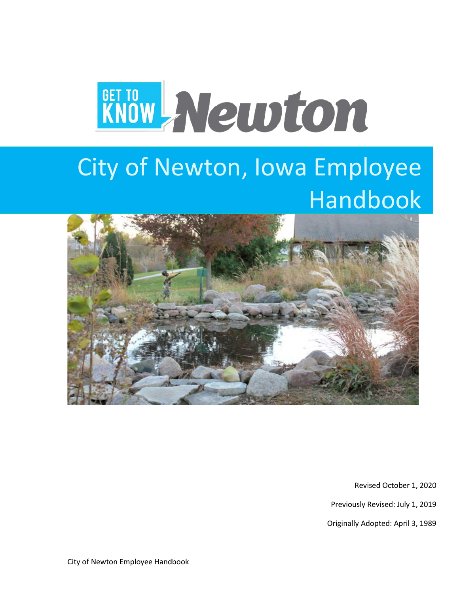

# City of Newton, Iowa Employee Handbook



Revised October 1, 2020

Previously Revised: July 1, 2019

Originally Adopted: April 3, 1989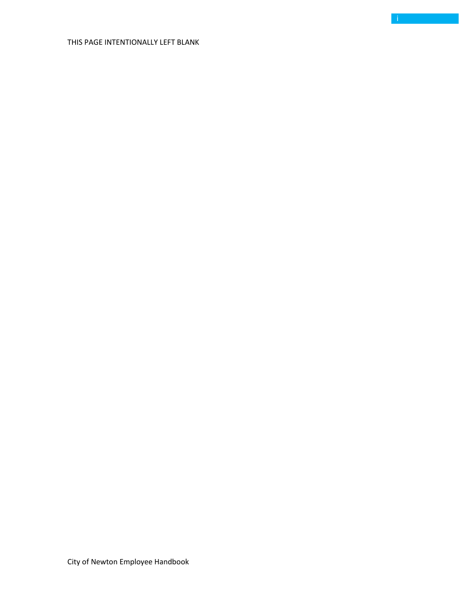#### THIS PAGE INTENTIONALLY LEFT BLANK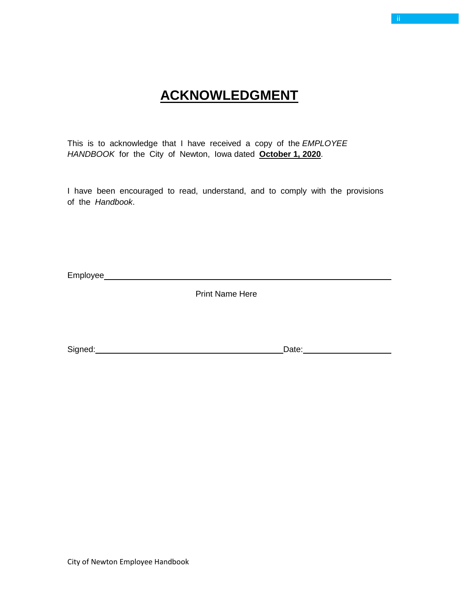# **ACKNOWLEDGMENT**

This is to acknowledge that I have received a copy of the *EMPLOYEE HANDBOOK* for the City of Newton, Iowa dated **October 1, 2020**.

I have been encouraged to read, understand, and to comply with the provisions of the *Handbook*.

Employee experience and the contract of the contract of the contract of the contract of the contract of the contract of the contract of the contract of the contract of the contract of the contract of the contract of the co

Print Name Here

Signed: National Contract of Contract of Contract of Contract of Contract of Contract of Contract of Contract of Contract of Contract of Contract of Contract of Contract of Contract of Contract of Contract of Contract of C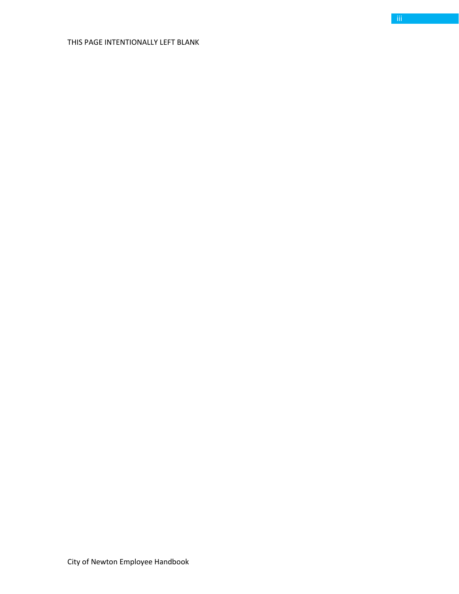#### THIS PAGE INTENTIONALLY LEFT BLANK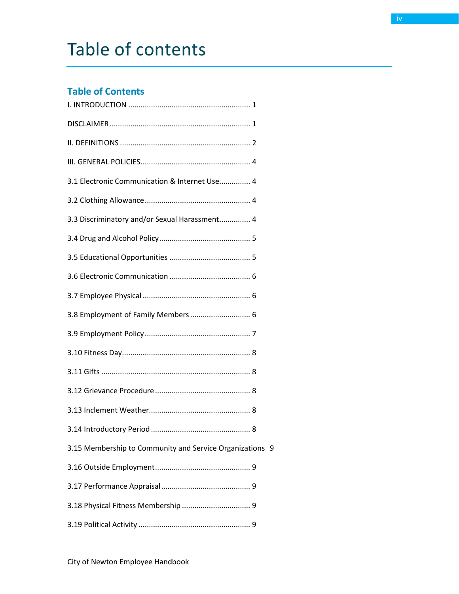# Table of contents

## **Table of Contents**

| 3.1 Electronic Communication & Internet Use 4            |
|----------------------------------------------------------|
|                                                          |
| 3.3 Discriminatory and/or Sexual Harassment 4            |
|                                                          |
|                                                          |
|                                                          |
|                                                          |
| 3.8 Employment of Family Members  6                      |
|                                                          |
|                                                          |
|                                                          |
|                                                          |
|                                                          |
|                                                          |
| 3.15 Membership to Community and Service Organizations 9 |
|                                                          |
|                                                          |
|                                                          |
|                                                          |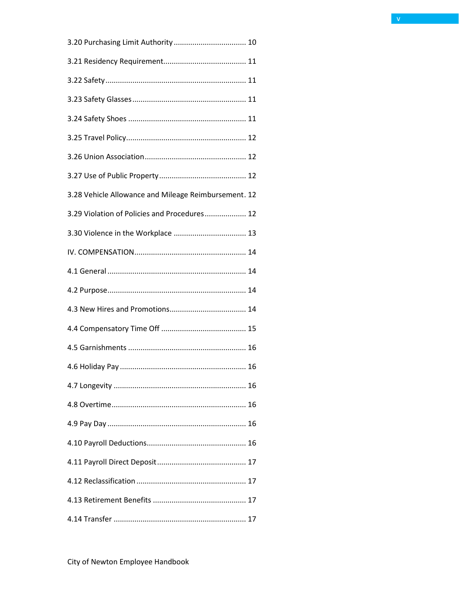| 3.28 Vehicle Allowance and Mileage Reimbursement. 12 |
|------------------------------------------------------|
| 3.29 Violation of Policies and Procedures 12         |
|                                                      |
|                                                      |
|                                                      |
|                                                      |
|                                                      |
|                                                      |
|                                                      |
|                                                      |
|                                                      |
|                                                      |
|                                                      |
|                                                      |
|                                                      |
|                                                      |
|                                                      |
|                                                      |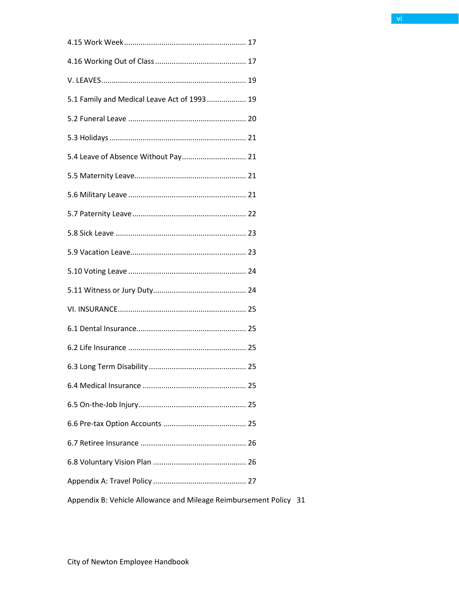| 5.1 Family and Medical Leave Act of 1993 19                       |
|-------------------------------------------------------------------|
|                                                                   |
|                                                                   |
| 5.4 Leave of Absence Without Pay 21                               |
|                                                                   |
|                                                                   |
|                                                                   |
|                                                                   |
|                                                                   |
|                                                                   |
|                                                                   |
|                                                                   |
|                                                                   |
|                                                                   |
|                                                                   |
|                                                                   |
|                                                                   |
|                                                                   |
|                                                                   |
|                                                                   |
|                                                                   |
| Appendix B: Vehicle Allowance and Mileage Reimbursement Policy 31 |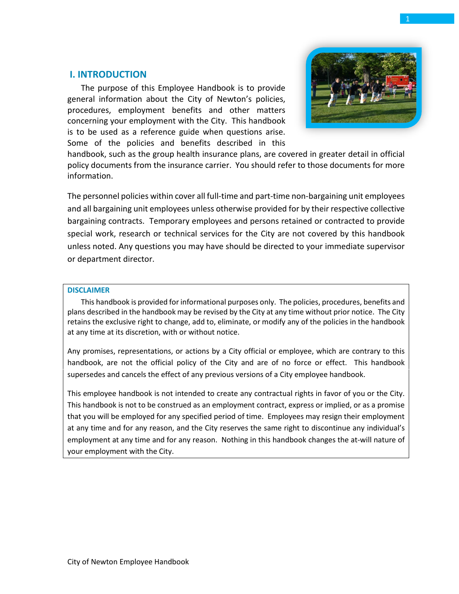#### <span id="page-7-0"></span>**I. INTRODUCTION**

The purpose of this Employee Handbook is to provide general information about the City of Newton's policies, procedures, employment benefits and other matters concerning your employment with the City. This handbook is to be used as a reference guide when questions arise. Some of the policies and benefits described in this



handbook, such as the group health insurance plans, are covered in greater detail in official policy documents from the insurance carrier. You should refer to those documents for more information.

The personnel policies within cover all full-time and part-time non-bargaining unit employees and all bargaining unit employees unless otherwise provided for by their respective collective bargaining contracts. Temporary employees and persons retained or contracted to provide special work, research or technical services for the City are not covered by this handbook unless noted. Any questions you may have should be directed to your immediate supervisor or department director.

#### <span id="page-7-1"></span>**DISCLAIMER**

This handbook is provided for informational purposes only. The policies, procedures, benefits and plans described in the handbook may be revised by the City at any time without prior notice. The City retains the exclusive right to change, add to, eliminate, or modify any of the policies in the handbook at any time at its discretion, with or without notice.

Any promises, representations, or actions by a City official or employee, which are contrary to this handbook, are not the official policy of the City and are of no force or effect. This handbook supersedes and cancels the effect of any previous versions of a City employee handbook.

This employee handbook is not intended to create any contractual rights in favor of you or the City. This handbook is not to be construed as an employment contract, express or implied, or as a promise that you will be employed for any specified period of time. Employees may resign their employment at any time and for any reason, and the City reserves the same right to discontinue any individual's employment at any time and for any reason. Nothing in this handbook changes the at-will nature of your employment with the City.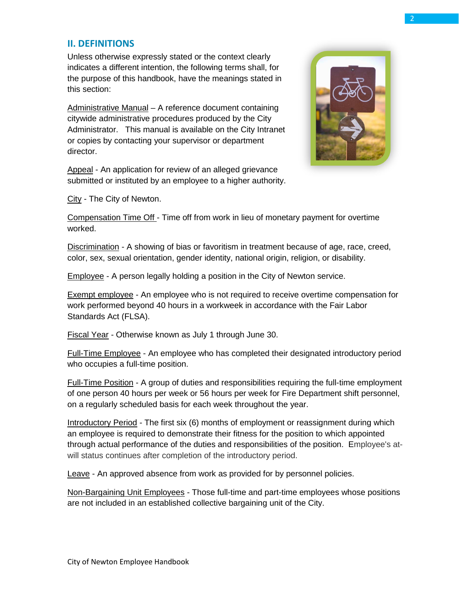#### <span id="page-8-0"></span>**II. DEFINITIONS**

Unless otherwise expressly stated or the context clearly indicates a different intention, the following terms shall, for the purpose of this handbook, have the meanings stated in this section:

Administrative Manual – A reference document containing citywide administrative procedures produced by the City Administrator. This manual is available on the City Intranet or copies by contacting your supervisor or department director.

Appeal - An application for review of an alleged grievance submitted or instituted by an employee to a higher authority.



Compensation Time Off - Time off from work in lieu of monetary payment for overtime worked.

Discrimination - A showing of bias or favoritism in treatment because of age, race, creed, color, sex, sexual orientation, gender identity, national origin, religion, or disability.

**Employee** - A person legally holding a position in the City of Newton service.

Exempt employee - An employee who is not required to receive overtime compensation for work performed beyond 40 hours in a workweek in accordance with the Fair Labor Standards Act (FLSA).

Fiscal Year - Otherwise known as July 1 through June 30.

Full-Time Employee - An employee who has completed their designated introductory period who occupies a full-time position.

Full-Time Position - A group of duties and responsibilities requiring the full-time employment of one person 40 hours per week or 56 hours per week for Fire Department shift personnel, on a regularly scheduled basis for each week throughout the year.

Introductory Period - The first six (6) months of employment or reassignment during which an employee is required to demonstrate their fitness for the position to which appointed through actual performance of the duties and responsibilities of the position. Employee's atwill status continues after completion of the introductory period.

Leave - An approved absence from work as provided for by personnel policies.

Non-Bargaining Unit Employees - Those full-time and part-time employees whose positions are not included in an established collective bargaining unit of the City.

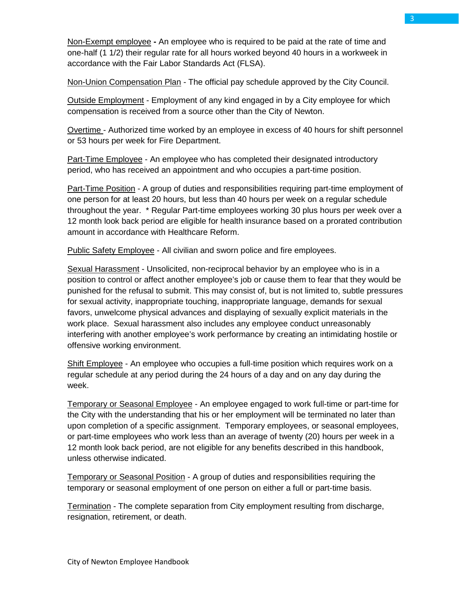Non-Exempt employee **-** An employee who is required to be paid at the rate of time and one-half (1 1/2) their regular rate for all hours worked beyond 40 hours in a workweek in accordance with the Fair Labor Standards Act (FLSA).

Non-Union Compensation Plan - The official pay schedule approved by the City Council.

Outside Employment - Employment of any kind engaged in by a City employee for which compensation is received from a source other than the City of Newton.

Overtime - Authorized time worked by an employee in excess of 40 hours for shift personnel or 53 hours per week for Fire Department.

Part-Time Employee - An employee who has completed their designated introductory period, who has received an appointment and who occupies a part-time position.

Part-Time Position - A group of duties and responsibilities requiring part-time employment of one person for at least 20 hours, but less than 40 hours per week on a regular schedule throughout the year. \* Regular Part-time employees working 30 plus hours per week over a 12 month look back period are eligible for health insurance based on a prorated contribution amount in accordance with Healthcare Reform.

Public Safety Employee - All civilian and sworn police and fire employees.

Sexual Harassment - Unsolicited, non-reciprocal behavior by an employee who is in a position to control or affect another employee's job or cause them to fear that they would be punished for the refusal to submit. This may consist of, but is not limited to, subtle pressures for sexual activity, inappropriate touching, inappropriate language, demands for sexual favors, unwelcome physical advances and displaying of sexually explicit materials in the work place. Sexual harassment also includes any employee conduct unreasonably interfering with another employee's work performance by creating an intimidating hostile or offensive working environment.

Shift Employee - An employee who occupies a full-time position which requires work on a regular schedule at any period during the 24 hours of a day and on any day during the week.

Temporary or Seasonal Employee - An employee engaged to work full-time or part-time for the City with the understanding that his or her employment will be terminated no later than upon completion of a specific assignment. Temporary employees, or seasonal employees, or part-time employees who work less than an average of twenty (20) hours per week in a 12 month look back period, are not eligible for any benefits described in this handbook, unless otherwise indicated.

Temporary or Seasonal Position - A group of duties and responsibilities requiring the temporary or seasonal employment of one person on either a full or part-time basis.

Termination - The complete separation from City employment resulting from discharge, resignation, retirement, or death.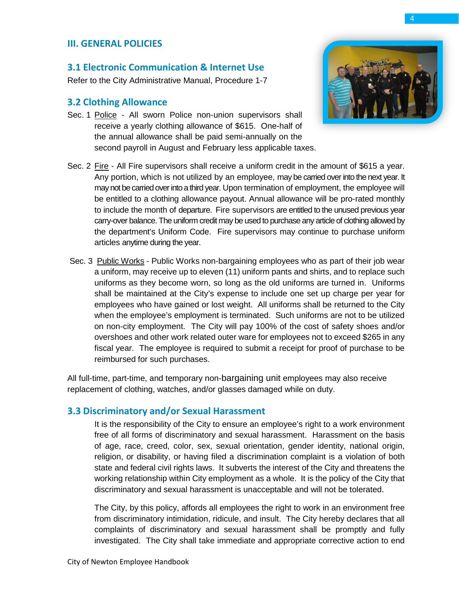#### <span id="page-10-0"></span>**III. GENERAL POLICIES**

#### <span id="page-10-1"></span>**3.1 Electronic Communication & Internet Use**

Refer to the City Administrative Manual, Procedure 1-7

#### <span id="page-10-2"></span>**3.2 Clothing Allowance**

Sec. 1 Police - All sworn Police non-union supervisors shall receive a yearly clothing allowance of \$615. One-half of the annual allowance shall be paid semi-annually on the second payroll in August and February less applicable taxes.



- Sec. 2 Fire All Fire supervisors shall receive a uniform credit in the amount of \$615 a year. Any portion, which is not utilized by an employee, may be carried over into the next year. It maynot be carried over into a third year. Upon termination of employment, the employee will be entitled to a clothing allowance payout. Annual allowance will be pro-rated monthly to include the month of departure. Fire supervisors are entitled to the unused previous year carry-over balance. The uniform credit may be used to purchase any article of clothing allowed by the department's Uniform Code. Fire supervisors may continue to purchase uniform articles anytime during the year.
- Sec. 3 Public Works Public Works non-bargaining employees who as part of their job wear a uniform, may receive up to eleven (11) uniform pants and shirts, and to replace such uniforms as they become worn, so long as the old uniforms are turned in. Uniforms shall be maintained at the City's expense to include one set up charge per year for employees who have gained or lost weight. All uniforms shall be returned to the City when the employee's employment is terminated. Such uniforms are not to be utilized on non-city employment. The City will pay 100% of the cost of safety shoes and/or overshoes and other work related outer ware for employees not to exceed \$265 in any fiscal year. The employee is required to submit a receipt for proof of purchase to be reimbursed for such purchases.

All full-time, part-time, and temporary non-bargaining unit employees may also receive replacement of clothing, watches, and/or glasses damaged while on duty.

#### <span id="page-10-3"></span>**3.3 Discriminatory and/or Sexual Harassment**

It is the responsibility of the City to ensure an employee's right to a work environment free of all forms of discriminatory and sexual harassment. Harassment on the basis of age, race, creed, color, sex, sexual orientation, gender identity, national origin, religion, or disability, or having filed a discrimination complaint is a violation of both state and federal civil rights laws. It subverts the interest of the City and threatens the working relationship within City employment as a whole. It is the policy of the City that discriminatory and sexual harassment is unacceptable and will not be tolerated.

The City, by this policy, affords all employees the right to work in an environment free from discriminatory intimidation, ridicule, and insult. The City hereby declares that all complaints of discriminatory and sexual harassment shall be promptly and fully investigated. The City shall take immediate and appropriate corrective action to end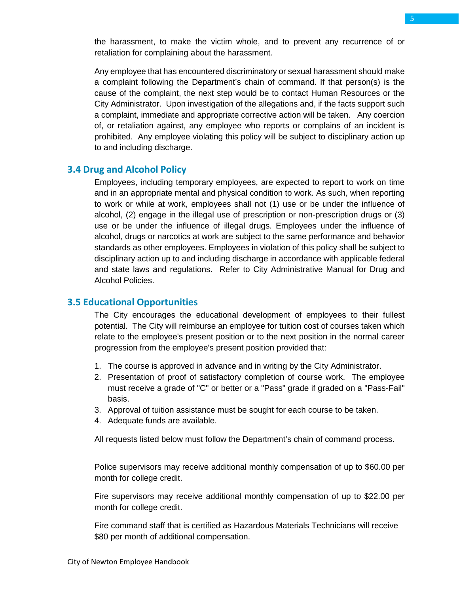the harassment, to make the victim whole, and to prevent any recurrence of or retaliation for complaining about the harassment.

Any employee that has encountered discriminatory or sexual harassment should make a complaint following the Department's chain of command. If that person(s) is the cause of the complaint, the next step would be to contact Human Resources or the City Administrator. Upon investigation of the allegations and, if the facts support such a complaint, immediate and appropriate corrective action will be taken. Any coercion of, or retaliation against, any employee who reports or complains of an incident is prohibited. Any employee violating this policy will be subject to disciplinary action up to and including discharge.

#### <span id="page-11-0"></span>**3.4 Drug and Alcohol Policy**

Employees, including temporary employees, are expected to report to work on time and in an appropriate mental and physical condition to work. As such, when reporting to work or while at work, employees shall not (1) use or be under the influence of alcohol, (2) engage in the illegal use of prescription or non-prescription drugs or (3) use or be under the influence of illegal drugs. Employees under the influence of alcohol, drugs or narcotics at work are subject to the same performance and behavior standards as other employees. Employees in violation of this policy shall be subject to disciplinary action up to and including discharge in accordance with applicable federal and state laws and regulations. Refer to City Administrative Manual for Drug and Alcohol Policies.

#### <span id="page-11-1"></span>**3.5 Educational Opportunities**

The City encourages the educational development of employees to their fullest potential. The City will reimburse an employee for tuition cost of courses taken which relate to the employee's present position or to the next position in the normal career progression from the employee's present position provided that:

- 1. The course is approved in advance and in writing by the City Administrator.
- 2. Presentation of proof of satisfactory completion of course work. The employee must receive a grade of "C" or better or a "Pass" grade if graded on a "Pass-Fail" basis.
- 3. Approval of tuition assistance must be sought for each course to be taken.
- 4. Adequate funds are available.

All requests listed below must follow the Department's chain of command process.

Police supervisors may receive additional monthly compensation of up to \$60.00 per month for college credit.

Fire supervisors may receive additional monthly compensation of up to \$22.00 per month for college credit.

Fire command staff that is certified as Hazardous Materials Technicians will receive \$80 per month of additional compensation.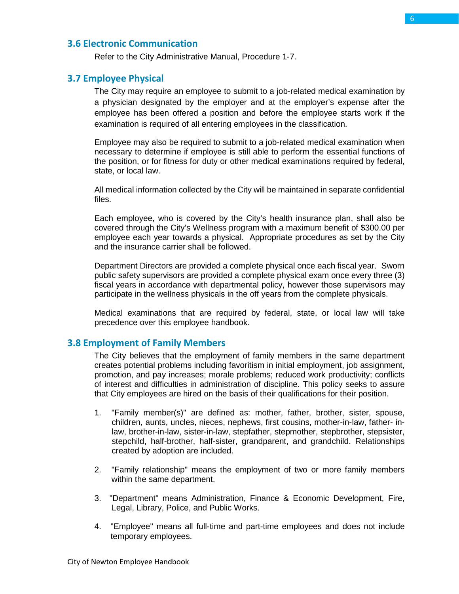#### <span id="page-12-0"></span>**3.6 Electronic Communication**

Refer to the City Administrative Manual, Procedure 1-7.

#### <span id="page-12-1"></span>**3.7 Employee Physical**

The City may require an employee to submit to a job-related medical examination by a physician designated by the employer and at the employer's expense after the employee has been offered a position and before the employee starts work if the examination is required of all entering employees in the classification.

Employee may also be required to submit to a job-related medical examination when necessary to determine if employee is still able to perform the essential functions of the position, or for fitness for duty or other medical examinations required by federal, state, or local law.

All medical information collected by the City will be maintained in separate confidential files.

Each employee, who is covered by the City's health insurance plan, shall also be covered through the City's Wellness program with a maximum benefit of \$300.00 per employee each year towards a physical. Appropriate procedures as set by the City and the insurance carrier shall be followed.

Department Directors are provided a complete physical once each fiscal year. Sworn public safety supervisors are provided a complete physical exam once every three (3) fiscal years in accordance with departmental policy, however those supervisors may participate in the wellness physicals in the off years from the complete physicals.

Medical examinations that are required by federal, state, or local law will take precedence over this employee handbook.

#### <span id="page-12-2"></span>**3.8 Employment of Family Members**

The City believes that the employment of family members in the same department creates potential problems including favoritism in initial employment, job assignment, promotion, and pay increases; morale problems; reduced work productivity; conflicts of interest and difficulties in administration of discipline. This policy seeks to assure that City employees are hired on the basis of their qualifications for their position.

- 1. "Family member(s)" are defined as: mother, father, brother, sister, spouse, children, aunts, uncles, nieces, nephews, first cousins, mother-in-law, father- inlaw, brother-in-law, sister-in-law, stepfather, stepmother, stepbrother, stepsister, stepchild, half-brother, half-sister, grandparent, and grandchild. Relationships created by adoption are included.
- 2. "Family relationship" means the employment of two or more family members within the same department.
- 3. "Department" means Administration, Finance & Economic Development, Fire, Legal, Library, Police, and Public Works.
- 4. "Employee" means all full-time and part-time employees and does not include temporary employees.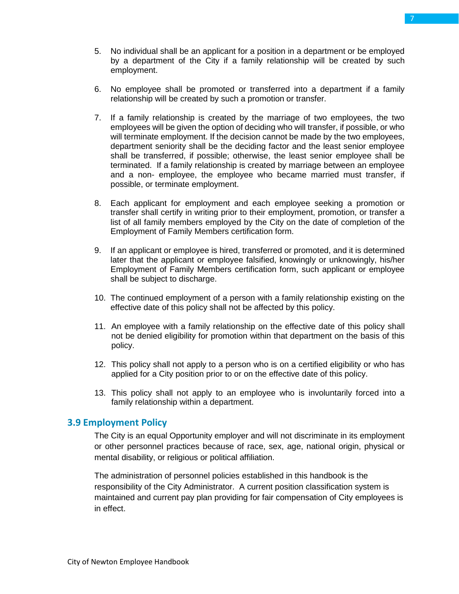- 5. No individual shall be an applicant for a position in a department or be employed by a department of the City if a family relationship will be created by such employment.
- 6. No employee shall be promoted or transferred into a department if a family relationship will be created by such a promotion or transfer.
- 7. If a family relationship is created by the marriage of two employees, the two employees will be given the option of deciding who will transfer, if possible, or who will terminate employment. If the decision cannot be made by the two employees, department seniority shall be the deciding factor and the least senior employee shall be transferred, if possible; otherwise, the least senior employee shall be terminated. If a family relationship is created by marriage between an employee and a non- employee, the employee who became married must transfer, if possible, or terminate employment.
- 8. Each applicant for employment and each employee seeking a promotion or transfer shall certify in writing prior to their employment, promotion, or transfer a list of all family members employed by the City on the date of completion of the Employment of Family Members certification form.
- 9. If an applicant or employee is hired, transferred or promoted, and it is determined later that the applicant or employee falsified, knowingly or unknowingly, his/her Employment of Family Members certification form, such applicant or employee shall be subject to discharge.
- 10. The continued employment of a person with a family relationship existing on the effective date of this policy shall not be affected by this policy.
- 11. An employee with a family relationship on the effective date of this policy shall not be denied eligibility for promotion within that department on the basis of this policy.
- 12. This policy shall not apply to a person who is on a certified eligibility or who has applied for a City position prior to or on the effective date of this policy.
- 13. This policy shall not apply to an employee who is involuntarily forced into a family relationship within a department.

#### <span id="page-13-0"></span>**3.9 Employment Policy**

The City is an equal Opportunity employer and will not discriminate in its employment or other personnel practices because of race, sex, age, national origin, physical or mental disability, or religious or political affiliation.

The administration of personnel policies established in this handbook is the responsibility of the City Administrator. A current position classification system is maintained and current pay plan providing for fair compensation of City employees is in effect.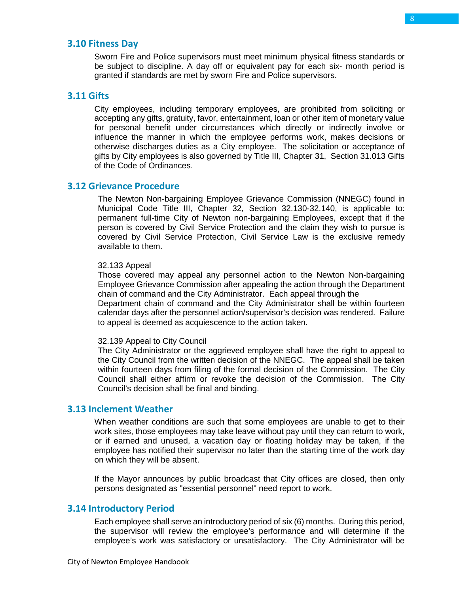#### <span id="page-14-0"></span>**3.10 Fitness Day**

Sworn Fire and Police supervisors must meet minimum physical fitness standards or be subject to discipline. A day off or equivalent pay for each six- month period is granted if standards are met by sworn Fire and Police supervisors.

#### <span id="page-14-1"></span>**3.11 Gifts**

City employees, including temporary employees, are prohibited from soliciting or accepting any gifts, gratuity, favor, entertainment, loan or other item of monetary value for personal benefit under circumstances which directly or indirectly involve or influence the manner in which the employee performs work, makes decisions or otherwise discharges duties as a City employee. The solicitation or acceptance of gifts by City employees is also governed by Title III, Chapter 31, Section 31.013 Gifts of the Code of Ordinances.

#### <span id="page-14-2"></span>**3.12 Grievance Procedure**

The Newton Non-bargaining Employee Grievance Commission (NNEGC) found in Municipal Code Title III, Chapter 32, Section 32.130-32.140, is applicable to: permanent full-time City of Newton non-bargaining Employees, except that if the person is covered by Civil Service Protection and the claim they wish to pursue is covered by Civil Service Protection, Civil Service Law is the exclusive remedy available to them.

#### 32.133 Appeal

Those covered may appeal any personnel action to the Newton Non-bargaining Employee Grievance Commission after appealing the action through the Department chain of command and the City Administrator. Each appeal through the

Department chain of command and the City Administrator shall be within fourteen calendar days after the personnel action/supervisor's decision was rendered. Failure to appeal is deemed as acquiescence to the action taken.

#### 32.139 Appeal to City Council

The City Administrator or the aggrieved employee shall have the right to appeal to the City Council from the written decision of the NNEGC. The appeal shall be taken within fourteen days from filing of the formal decision of the Commission. The City Council shall either affirm or revoke the decision of the Commission. The City Council's decision shall be final and binding.

#### <span id="page-14-3"></span>**3.13 Inclement Weather**

When weather conditions are such that some employees are unable to get to their work sites, those employees may take leave without pay until they can return to work, or if earned and unused, a vacation day or floating holiday may be taken, if the employee has notified their supervisor no later than the starting time of the work day on which they will be absent.

If the Mayor announces by public broadcast that City offices are closed, then only persons designated as "essential personnel" need report to work.

#### <span id="page-14-4"></span>**3.14 Introductory Period**

Each employee shall serve an introductory period of six (6) months. During this period, the supervisor will review the employee's performance and will determine if the employee's work was satisfactory or unsatisfactory. The City Administrator will be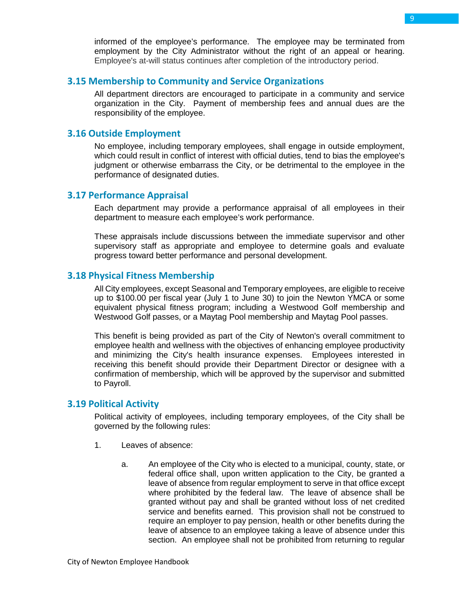informed of the employee's performance. The employee may be terminated from employment by the City Administrator without the right of an appeal or hearing. Employee's at-will status continues after completion of the introductory period.

#### <span id="page-15-0"></span>**3.15 Membership to Community and Service Organizations**

All department directors are encouraged to participate in a community and service organization in the City. Payment of membership fees and annual dues are the responsibility of the employee.

#### <span id="page-15-1"></span>**3.16 Outside Employment**

No employee, including temporary employees, shall engage in outside employment, which could result in conflict of interest with official duties, tend to bias the employee's judgment or otherwise embarrass the City, or be detrimental to the employee in the performance of designated duties.

#### <span id="page-15-2"></span>**3.17 Performance Appraisal**

Each department may provide a performance appraisal of all employees in their department to measure each employee's work performance.

These appraisals include discussions between the immediate supervisor and other supervisory staff as appropriate and employee to determine goals and evaluate progress toward better performance and personal development.

#### <span id="page-15-3"></span>**3.18 Physical Fitness Membership**

All City employees, except Seasonal and Temporary employees, are eligible to receive up to \$100.00 per fiscal year (July 1 to June 30) to join the Newton YMCA or some equivalent physical fitness program; including a Westwood Golf membership and Westwood Golf passes, or a Maytag Pool membership and Maytag Pool passes.

This benefit is being provided as part of the City of Newton's overall commitment to employee health and wellness with the objectives of enhancing employee productivity and minimizing the City's health insurance expenses. Employees interested in receiving this benefit should provide their Department Director or designee with a confirmation of membership, which will be approved by the supervisor and submitted to Payroll.

#### <span id="page-15-4"></span>**3.19 Political Activity**

Political activity of employees, including temporary employees, of the City shall be governed by the following rules:

- 1. Leaves of absence:
	- a. An employee of the City who is elected to a municipal, county, state, or federal office shall, upon written application to the City, be granted a leave of absence from regular employment to serve in that office except where prohibited by the federal law. The leave of absence shall be granted without pay and shall be granted without loss of net credited service and benefits earned. This provision shall not be construed to require an employer to pay pension, health or other benefits during the leave of absence to an employee taking a leave of absence under this section. An employee shall not be prohibited from returning to regular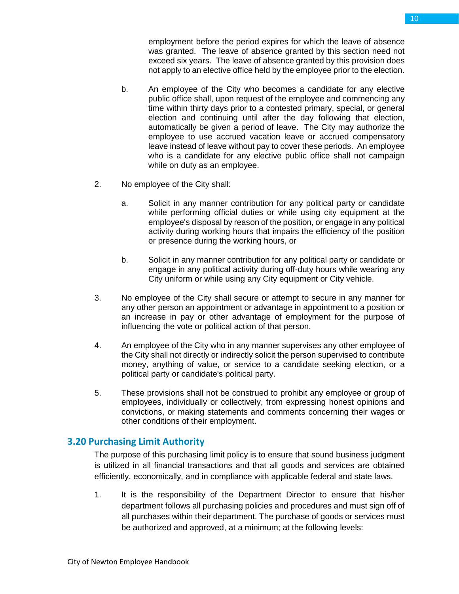employment before the period expires for which the leave of absence was granted. The leave of absence granted by this section need not exceed six years. The leave of absence granted by this provision does not apply to an elective office held by the employee prior to the election.

- b. An employee of the City who becomes a candidate for any elective public office shall, upon request of the employee and commencing any time within thirty days prior to a contested primary, special, or general election and continuing until after the day following that election, automatically be given a period of leave. The City may authorize the employee to use accrued vacation leave or accrued compensatory leave instead of leave without pay to cover these periods. An employee who is a candidate for any elective public office shall not campaign while on duty as an employee.
- 2. No employee of the City shall:
	- a. Solicit in any manner contribution for any political party or candidate while performing official duties or while using city equipment at the employee's disposal by reason of the position, or engage in any political activity during working hours that impairs the efficiency of the position or presence during the working hours, or
	- b. Solicit in any manner contribution for any political party or candidate or engage in any political activity during off-duty hours while wearing any City uniform or while using any City equipment or City vehicle.
- 3. No employee of the City shall secure or attempt to secure in any manner for any other person an appointment or advantage in appointment to a position or an increase in pay or other advantage of employment for the purpose of influencing the vote or political action of that person.
- 4. An employee of the City who in any manner supervises any other employee of the City shall not directly or indirectly solicit the person supervised to contribute money, anything of value, or service to a candidate seeking election, or a political party or candidate's political party.
- 5. These provisions shall not be construed to prohibit any employee or group of employees, individually or collectively, from expressing honest opinions and convictions, or making statements and comments concerning their wages or other conditions of their employment.

#### <span id="page-16-0"></span>**3.20 Purchasing Limit Authority**

The purpose of this purchasing limit policy is to ensure that sound business judgment is utilized in all financial transactions and that all goods and services are obtained efficiently, economically, and in compliance with applicable federal and state laws.

1. It is the responsibility of the Department Director to ensure that his/her department follows all purchasing policies and procedures and must sign off of all purchases within their department. The purchase of goods or services must be authorized and approved, at a minimum; at the following levels: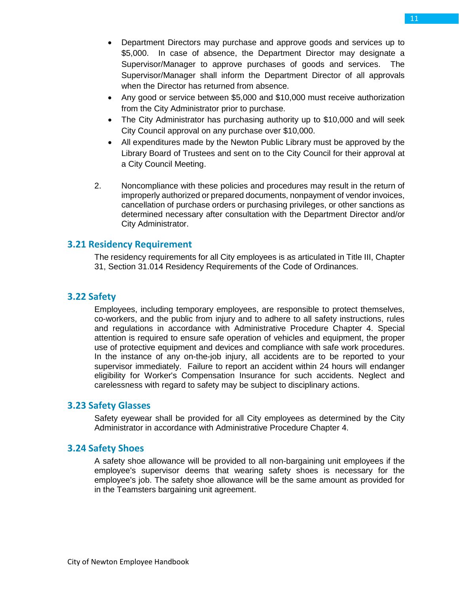- Department Directors may purchase and approve goods and services up to \$5,000. In case of absence, the Department Director may designate a Supervisor/Manager to approve purchases of goods and services. The Supervisor/Manager shall inform the Department Director of all approvals when the Director has returned from absence.
- Any good or service between \$5,000 and \$10,000 must receive authorization from the City Administrator prior to purchase.
- The City Administrator has purchasing authority up to \$10,000 and will seek City Council approval on any purchase over \$10,000.
- All expenditures made by the Newton Public Library must be approved by the Library Board of Trustees and sent on to the City Council for their approval at a City Council Meeting.
- 2. Noncompliance with these policies and procedures may result in the return of improperly authorized or prepared documents, nonpayment of vendor invoices, cancellation of purchase orders or purchasing privileges, or other sanctions as determined necessary after consultation with the Department Director and/or City Administrator.

#### <span id="page-17-0"></span>**3.21 Residency Requirement**

The residency requirements for all City employees is as articulated in Title III, Chapter 31, Section 31.014 Residency Requirements of the Code of Ordinances.

#### <span id="page-17-1"></span>**3.22 Safety**

Employees, including temporary employees, are responsible to protect themselves, co-workers, and the public from injury and to adhere to all safety instructions, rules and regulations in accordance with Administrative Procedure Chapter 4. Special attention is required to ensure safe operation of vehicles and equipment, the proper use of protective equipment and devices and compliance with safe work procedures. In the instance of any on-the-job injury, all accidents are to be reported to your supervisor immediately. Failure to report an accident within 24 hours will endanger eligibility for Worker's Compensation Insurance for such accidents. Neglect and carelessness with regard to safety may be subject to disciplinary actions.

#### <span id="page-17-2"></span>**3.23 Safety Glasses**

Safety eyewear shall be provided for all City employees as determined by the City Administrator in accordance with Administrative Procedure Chapter 4.

#### <span id="page-17-3"></span>**3.24 Safety Shoes**

A safety shoe allowance will be provided to all non-bargaining unit employees if the employee's supervisor deems that wearing safety shoes is necessary for the employee's job. The safety shoe allowance will be the same amount as provided for in the Teamsters bargaining unit agreement.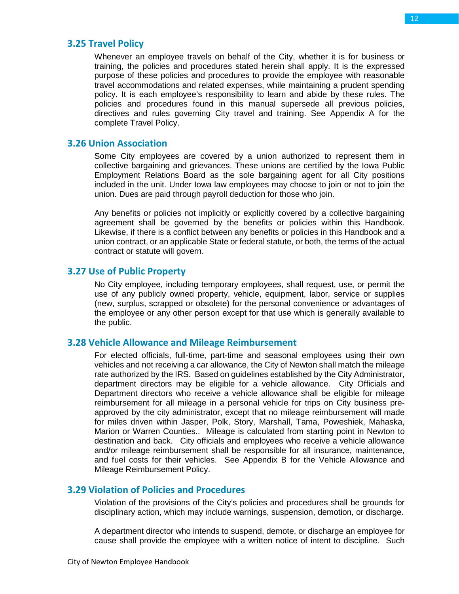#### <span id="page-18-0"></span>**3.25 Travel Policy**

Whenever an employee travels on behalf of the City, whether it is for business or training, the policies and procedures stated herein shall apply. It is the expressed purpose of these policies and procedures to provide the employee with reasonable travel accommodations and related expenses, while maintaining a prudent spending policy. It is each employee's responsibility to learn and abide by these rules. The policies and procedures found in this manual supersede all previous policies, directives and rules governing City travel and training. See Appendix A for the complete Travel Policy.

#### <span id="page-18-1"></span>**3.26 Union Association**

Some City employees are covered by a union authorized to represent them in collective bargaining and grievances. These unions are certified by the Iowa Public Employment Relations Board as the sole bargaining agent for all City positions included in the unit. Under Iowa law employees may choose to join or not to join the union. Dues are paid through payroll deduction for those who join.

Any benefits or policies not implicitly or explicitly covered by a collective bargaining agreement shall be governed by the benefits or policies within this Handbook. Likewise, if there is a conflict between any benefits or policies in this Handbook and a union contract, or an applicable State or federal statute, or both, the terms of the actual contract or statute will govern.

#### <span id="page-18-2"></span>**3.27 Use of Public Property**

No City employee, including temporary employees, shall request, use, or permit the use of any publicly owned property, vehicle, equipment, labor, service or supplies (new, surplus, scrapped or obsolete) for the personal convenience or advantages of the employee or any other person except for that use which is generally available to the public.

#### <span id="page-18-3"></span>**3.28 Vehicle Allowance and Mileage Reimbursement**

For elected officials, full-time, part-time and seasonal employees using their own vehicles and not receiving a car allowance, the City of Newton shall match the mileage rate authorized by the IRS. Based on guidelines established by the City Administrator, department directors may be eligible for a vehicle allowance. City Officials and Department directors who receive a vehicle allowance shall be eligible for mileage reimbursement for all mileage in a personal vehicle for trips on City business preapproved by the city administrator, except that no mileage reimbursement will made for miles driven within Jasper, Polk, Story, Marshall, Tama, Poweshiek, Mahaska, Marion or Warren Counties.. Mileage is calculated from starting point in Newton to destination and back. City officials and employees who receive a vehicle allowance and/or mileage reimbursement shall be responsible for all insurance, maintenance, and fuel costs for their vehicles. See Appendix B for the Vehicle Allowance and Mileage Reimbursement Policy.

#### <span id="page-18-4"></span>**3.29 Violation of Policies and Procedures**

Violation of the provisions of the City's policies and procedures shall be grounds for disciplinary action, which may include warnings, suspension, demotion, or discharge.

A department director who intends to suspend, demote, or discharge an employee for cause shall provide the employee with a written notice of intent to discipline. Such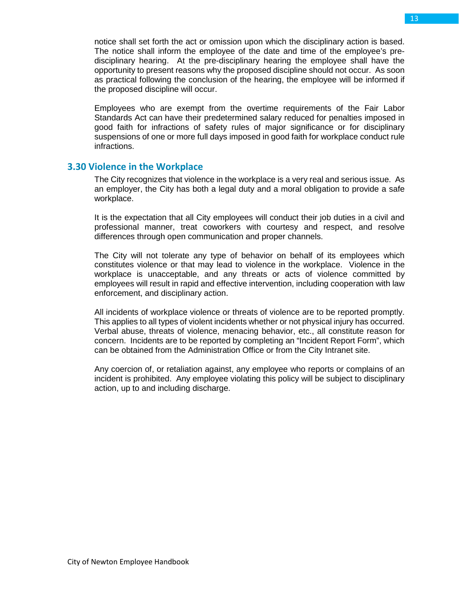notice shall set forth the act or omission upon which the disciplinary action is based. The notice shall inform the employee of the date and time of the employee's predisciplinary hearing. At the pre-disciplinary hearing the employee shall have the opportunity to present reasons why the proposed discipline should not occur. As soon as practical following the conclusion of the hearing, the employee will be informed if the proposed discipline will occur.

Employees who are exempt from the overtime requirements of the Fair Labor Standards Act can have their predetermined salary reduced for penalties imposed in good faith for infractions of safety rules of major significance or for disciplinary suspensions of one or more full days imposed in good faith for workplace conduct rule infractions.

#### <span id="page-19-0"></span>**3.30 Violence in the Workplace**

The City recognizes that violence in the workplace is a very real and serious issue. As an employer, the City has both a legal duty and a moral obligation to provide a safe workplace.

It is the expectation that all City employees will conduct their job duties in a civil and professional manner, treat coworkers with courtesy and respect, and resolve differences through open communication and proper channels.

The City will not tolerate any type of behavior on behalf of its employees which constitutes violence or that may lead to violence in the workplace. Violence in the workplace is unacceptable, and any threats or acts of violence committed by employees will result in rapid and effective intervention, including cooperation with law enforcement, and disciplinary action.

All incidents of workplace violence or threats of violence are to be reported promptly. This applies to all types of violent incidents whether or not physical injury has occurred. Verbal abuse, threats of violence, menacing behavior, etc., all constitute reason for concern. Incidents are to be reported by completing an "Incident Report Form", which can be obtained from the Administration Office or from the City Intranet site.

Any coercion of, or retaliation against, any employee who reports or complains of an incident is prohibited. Any employee violating this policy will be subject to disciplinary action, up to and including discharge.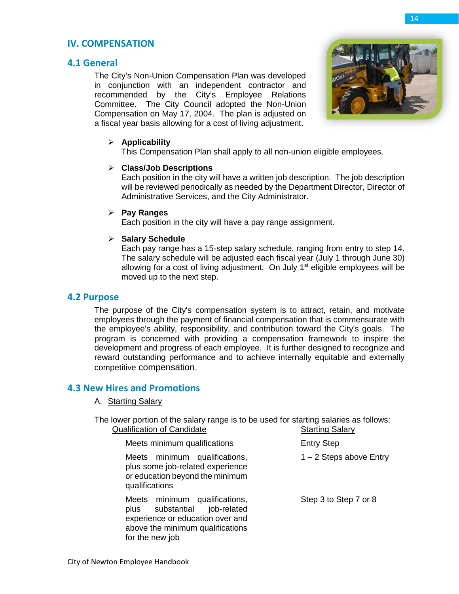#### <span id="page-20-0"></span>**IV. COMPENSATION**

#### <span id="page-20-1"></span>**4.1 General**

The City's Non-Union Compensation Plan was developed in conjunction with an independent contractor and recommended by the City's Employee Relations Committee. The City Council adopted the Non-Union Compensation on May 17, 2004. The plan is adjusted on a fiscal year basis allowing for a cost of living adjustment.



#### **Applicability**

This Compensation Plan shall apply to all non-union eligible employees.

#### **Class/Job Descriptions**

Each position in the city will have a written job description. The job description will be reviewed periodically as needed by the Department Director, Director of Administrative Services, and the City Administrator.

#### **Pay Ranges**

Each position in the city will have a pay range assignment.

#### **Salary Schedule**

Each pay range has a 15-step salary schedule, ranging from entry to step 14. The salary schedule will be adjusted each fiscal year (July 1 through June 30) allowing for a cost of living adjustment. On July  $1<sup>st</sup>$  eligible employees will be moved up to the next step.

#### <span id="page-20-2"></span>**4.2 Purpose**

The purpose of the City's compensation system is to attract, retain, and motivate employees through the payment of financial compensation that is commensurate with the employee's ability, responsibility, and contribution toward the City's goals. The program is concerned with providing a compensation framework to inspire the development and progress of each employee. It is further designed to recognize and reward outstanding performance and to achieve internally equitable and externally competitive compensation.

#### <span id="page-20-3"></span>**4.3 New Hires and Promotions**

A. Starting Salary

The lower portion of the salary range is to be used for starting salaries as follows: Qualification of Candidate **Starting Salary** Starting Salary

| Meets minimum qualifications |                                                                                                                                                          | <b>Entry Step</b>         |  |
|------------------------------|----------------------------------------------------------------------------------------------------------------------------------------------------------|---------------------------|--|
|                              | Meets minimum qualifications,<br>plus some job-related experience<br>or education beyond the minimum<br>qualifications                                   | $1 - 2$ Steps above Entry |  |
|                              | Meets minimum qualifications,<br>plus substantial job-related<br>experience or education over and<br>above the minimum qualifications<br>for the new job | Step 3 to Step 7 or 8     |  |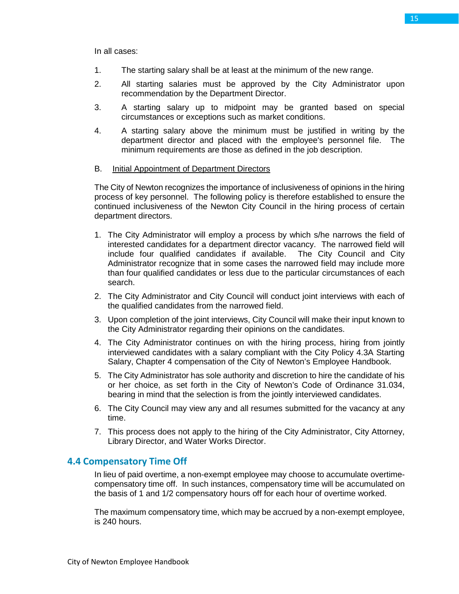In all cases:

- 1. The starting salary shall be at least at the minimum of the new range.
- 2. All starting salaries must be approved by the City Administrator upon recommendation by the Department Director.
- 3. A starting salary up to midpoint may be granted based on special circumstances or exceptions such as market conditions.
- 4. A starting salary above the minimum must be justified in writing by the department director and placed with the employee's personnel file. The minimum requirements are those as defined in the job description.

#### B. Initial Appointment of Department Directors

The City of Newton recognizes the importance of inclusiveness of opinions in the hiring process of key personnel. The following policy is therefore established to ensure the continued inclusiveness of the Newton City Council in the hiring process of certain department directors.

- 1. The City Administrator will employ a process by which s/he narrows the field of interested candidates for a department director vacancy. The narrowed field will include four qualified candidates if available. The City Council and City Administrator recognize that in some cases the narrowed field may include more than four qualified candidates or less due to the particular circumstances of each search.
- 2. The City Administrator and City Council will conduct joint interviews with each of the qualified candidates from the narrowed field.
- 3. Upon completion of the joint interviews, City Council will make their input known to the City Administrator regarding their opinions on the candidates.
- 4. The City Administrator continues on with the hiring process, hiring from jointly interviewed candidates with a salary compliant with the City Policy 4.3A Starting Salary, Chapter 4 compensation of the City of Newton's Employee Handbook.
- 5. The City Administrator has sole authority and discretion to hire the candidate of his or her choice, as set forth in the City of Newton's Code of Ordinance 31.034, bearing in mind that the selection is from the jointly interviewed candidates.
- 6. The City Council may view any and all resumes submitted for the vacancy at any time.
- 7. This process does not apply to the hiring of the City Administrator, City Attorney, Library Director, and Water Works Director.

#### <span id="page-21-0"></span>**4.4 Compensatory Time Off**

In lieu of paid overtime, a non-exempt employee may choose to accumulate overtimecompensatory time off. In such instances, compensatory time will be accumulated on the basis of 1 and 1/2 compensatory hours off for each hour of overtime worked.

The maximum compensatory time, which may be accrued by a non-exempt employee, is 240 hours.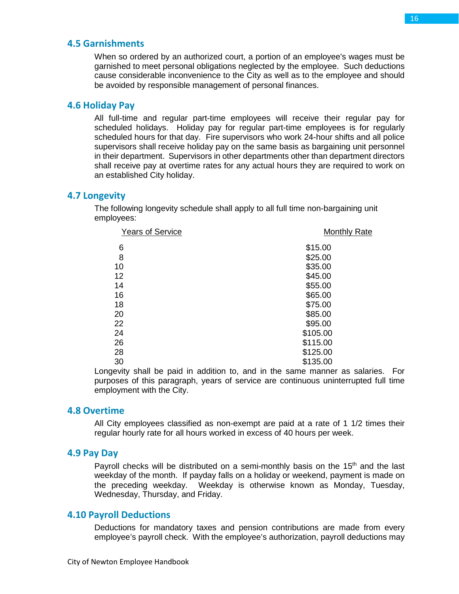#### <span id="page-22-0"></span>**4.5 Garnishments**

When so ordered by an authorized court, a portion of an employee's wages must be garnished to meet personal obligations neglected by the employee. Such deductions cause considerable inconvenience to the City as well as to the employee and should be avoided by responsible management of personal finances.

#### <span id="page-22-1"></span>**4.6 Holiday Pay**

All full-time and regular part-time employees will receive their regular pay for scheduled holidays. Holiday pay for regular part-time employees is for regularly scheduled hours for that day. Fire supervisors who work 24-hour shifts and all police supervisors shall receive holiday pay on the same basis as bargaining unit personnel in their department. Supervisors in other departments other than department directors shall receive pay at overtime rates for any actual hours they are required to work on an established City holiday.

#### <span id="page-22-2"></span>**4.7 Longevity**

The following longevity schedule shall apply to all full time non-bargaining unit employees:

| <b>Years of Service</b> | Monthly Rate |  |
|-------------------------|--------------|--|
| 6                       | \$15.00      |  |
| 8                       | \$25.00      |  |
| 10                      | \$35.00      |  |
| 12                      | \$45.00      |  |
| 14                      | \$55.00      |  |
| 16                      | \$65.00      |  |
| 18                      | \$75.00      |  |
| 20                      | \$85.00      |  |
| 22                      | \$95.00      |  |
| 24                      | \$105.00     |  |
| 26                      | \$115.00     |  |
| 28                      | \$125.00     |  |
| 30                      | \$135.00     |  |
|                         |              |  |

Longevity shall be paid in addition to, and in the same manner as salaries. For purposes of this paragraph, years of service are continuous uninterrupted full time employment with the City.

#### <span id="page-22-3"></span>**4.8 Overtime**

All City employees classified as non-exempt are paid at a rate of 1 1/2 times their regular hourly rate for all hours worked in excess of 40 hours per week.

#### <span id="page-22-4"></span>**4.9 Pay Day**

Payroll checks will be distributed on a semi-monthly basis on the  $15<sup>th</sup>$  and the last weekday of the month. If payday falls on a holiday or weekend, payment is made on the preceding weekday. Weekday is otherwise known as Monday, Tuesday, Wednesday, Thursday, and Friday.

#### <span id="page-22-5"></span>**4.10 Payroll Deductions**

Deductions for mandatory taxes and pension contributions are made from every employee's payroll check. With the employee's authorization, payroll deductions may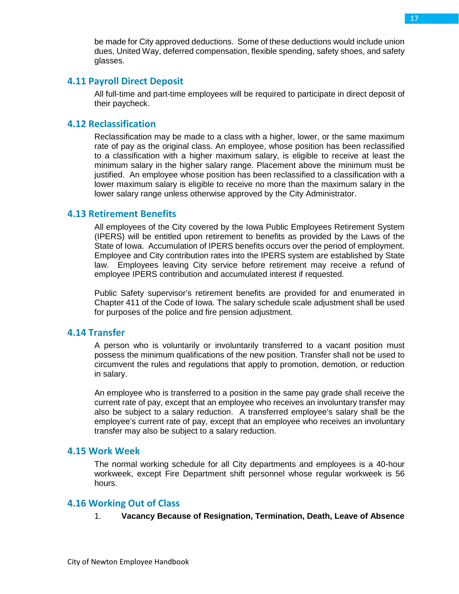be made for City approved deductions. Some of these deductions would include union dues, United Way, deferred compensation, flexible spending, safety shoes, and safety glasses.

#### <span id="page-23-0"></span>**4.11 Payroll Direct Deposit**

All full-time and part-time employees will be required to participate in direct deposit of their paycheck.

#### <span id="page-23-1"></span>**4.12 Reclassification**

Reclassification may be made to a class with a higher, lower, or the same maximum rate of pay as the original class. An employee, whose position has been reclassified to a classification with a higher maximum salary, is eligible to receive at least the minimum salary in the higher salary range. Placement above the minimum must be justified. An employee whose position has been reclassified to a classification with a lower maximum salary is eligible to receive no more than the maximum salary in the lower salary range unless otherwise approved by the City Administrator.

#### <span id="page-23-2"></span>**4.13 Retirement Benefits**

All employees of the City covered by the Iowa Public Employees Retirement System (IPERS) will be entitled upon retirement to benefits as provided by the Laws of the State of Iowa. Accumulation of IPERS benefits occurs over the period of employment. Employee and City contribution rates into the IPERS system are established by State law. Employees leaving City service before retirement may receive a refund of employee IPERS contribution and accumulated interest if requested.

Public Safety supervisor's retirement benefits are provided for and enumerated in Chapter 411 of the Code of Iowa. The salary schedule scale adjustment shall be used for purposes of the police and fire pension adjustment.

#### <span id="page-23-3"></span>**4.14 Transfer**

A person who is voluntarily or involuntarily transferred to a vacant position must possess the minimum qualifications of the new position. Transfer shall not be used to circumvent the rules and regulations that apply to promotion, demotion, or reduction in salary.

An employee who is transferred to a position in the same pay grade shall receive the current rate of pay, except that an employee who receives an involuntary transfer may also be subject to a salary reduction. A transferred employee's salary shall be the employee's current rate of pay, except that an employee who receives an involuntary transfer may also be subject to a salary reduction.

#### <span id="page-23-4"></span>**4.15 Work Week**

The normal working schedule for all City departments and employees is a 40-hour workweek, except Fire Department shift personnel whose regular workweek is 56 hours.

#### <span id="page-23-5"></span>**4.16 Working Out of Class**

1. **Vacancy Because of Resignation, Termination, Death, Leave of Absence**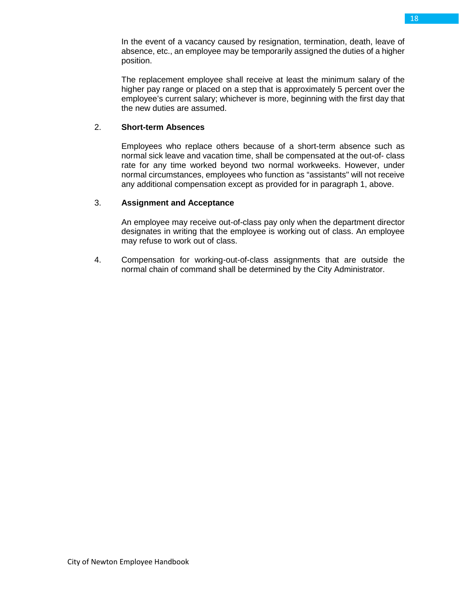In the event of a vacancy caused by resignation, termination, death, leave of absence, etc., an employee may be temporarily assigned the duties of a higher position.

The replacement employee shall receive at least the minimum salary of the higher pay range or placed on a step that is approximately 5 percent over the employee's current salary; whichever is more, beginning with the first day that the new duties are assumed.

#### 2. **Short-term Absences**

Employees who replace others because of a short-term absence such as normal sick leave and vacation time, shall be compensated at the out-of- class rate for any time worked beyond two normal workweeks. However, under normal circumstances, employees who function as "assistants" will not receive any additional compensation except as provided for in paragraph 1, above.

#### 3. **Assignment and Acceptance**

An employee may receive out-of-class pay only when the department director designates in writing that the employee is working out of class. An employee may refuse to work out of class.

4. Compensation for working-out-of-class assignments that are outside the normal chain of command shall be determined by the City Administrator.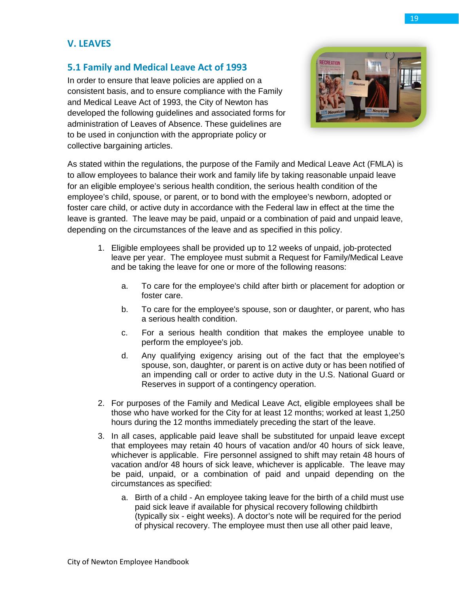### <span id="page-25-0"></span>**V. LEAVES**

#### <span id="page-25-1"></span>**5.1 Family and Medical Leave Act of 1993**

In order to ensure that leave policies are applied on a consistent basis, and to ensure compliance with the Family and Medical Leave Act of 1993, the City of Newton has developed the following guidelines and associated forms for administration of Leaves of Absence. These guidelines are to be used in conjunction with the appropriate policy or collective bargaining articles.



As stated within the regulations, the purpose of the Family and Medical Leave Act (FMLA) is to allow employees to balance their work and family life by taking reasonable unpaid leave for an eligible employee's serious health condition, the serious health condition of the employee's child, spouse, or parent, or to bond with the employee's newborn, adopted or foster care child, or active duty in accordance with the Federal law in effect at the time the leave is granted. The leave may be paid, unpaid or a combination of paid and unpaid leave, depending on the circumstances of the leave and as specified in this policy.

- 1. Eligible employees shall be provided up to 12 weeks of unpaid, job-protected leave per year. The employee must submit a Request for Family/Medical Leave and be taking the leave for one or more of the following reasons:
	- a. To care for the employee's child after birth or placement for adoption or foster care.
	- b. To care for the employee's spouse, son or daughter, or parent, who has a serious health condition.
	- c. For a serious health condition that makes the employee unable to perform the employee's job.
	- d. Any qualifying exigency arising out of the fact that the employee's spouse, son, daughter, or parent is on active duty or has been notified of an impending call or order to active duty in the U.S. National Guard or Reserves in support of a contingency operation.
- 2. For purposes of the Family and Medical Leave Act, eligible employees shall be those who have worked for the City for at least 12 months; worked at least 1,250 hours during the 12 months immediately preceding the start of the leave.
- 3. In all cases, applicable paid leave shall be substituted for unpaid leave except that employees may retain 40 hours of vacation and/or 40 hours of sick leave, whichever is applicable. Fire personnel assigned to shift may retain 48 hours of vacation and/or 48 hours of sick leave, whichever is applicable. The leave may be paid, unpaid, or a combination of paid and unpaid depending on the circumstances as specified:
	- a. Birth of a child An employee taking leave for the birth of a child must use paid sick leave if available for physical recovery following childbirth (typically six - eight weeks). A doctor's note will be required for the period of physical recovery. The employee must then use all other paid leave,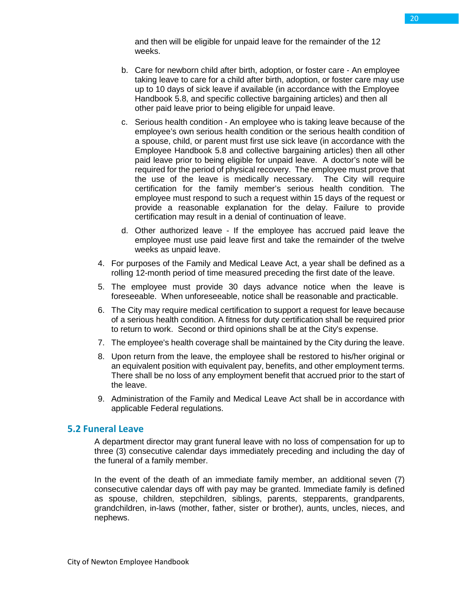and then will be eligible for unpaid leave for the remainder of the 12 weeks.

- b. Care for newborn child after birth, adoption, or foster care An employee taking leave to care for a child after birth, adoption, or foster care may use up to 10 days of sick leave if available (in accordance with the Employee Handbook 5.8, and specific collective bargaining articles) and then all other paid leave prior to being eligible for unpaid leave.
- c. Serious health condition An employee who is taking leave because of the employee's own serious health condition or the serious health condition of a spouse, child, or parent must first use sick leave (in accordance with the Employee Handbook 5.8 and collective bargaining articles) then all other paid leave prior to being eligible for unpaid leave. A doctor's note will be required for the period of physical recovery. The employee must prove that the use of the leave is medically necessary. The City will require certification for the family member's serious health condition. The employee must respond to such a request within 15 days of the request or provide a reasonable explanation for the delay. Failure to provide certification may result in a denial of continuation of leave.
- d. Other authorized leave If the employee has accrued paid leave the employee must use paid leave first and take the remainder of the twelve weeks as unpaid leave.
- 4. For purposes of the Family and Medical Leave Act, a year shall be defined as a rolling 12-month period of time measured preceding the first date of the leave.
- 5. The employee must provide 30 days advance notice when the leave is foreseeable. When unforeseeable, notice shall be reasonable and practicable.
- 6. The City may require medical certification to support a request for leave because of a serious health condition. A fitness for duty certification shall be required prior to return to work. Second or third opinions shall be at the City's expense.
- 7. The employee's health coverage shall be maintained by the City during the leave.
- 8. Upon return from the leave, the employee shall be restored to his/her original or an equivalent position with equivalent pay, benefits, and other employment terms. There shall be no loss of any employment benefit that accrued prior to the start of the leave.
- 9. Administration of the Family and Medical Leave Act shall be in accordance with applicable Federal regulations.

#### <span id="page-26-0"></span>**5.2 Funeral Leave**

A department director may grant funeral leave with no loss of compensation for up to three (3) consecutive calendar days immediately preceding and including the day of the funeral of a family member.

In the event of the death of an immediate family member, an additional seven (7) consecutive calendar days off with pay may be granted. Immediate family is defined as spouse, children, stepchildren, siblings, parents, stepparents, grandparents, grandchildren, in-laws (mother, father, sister or brother), aunts, uncles, nieces, and nephews.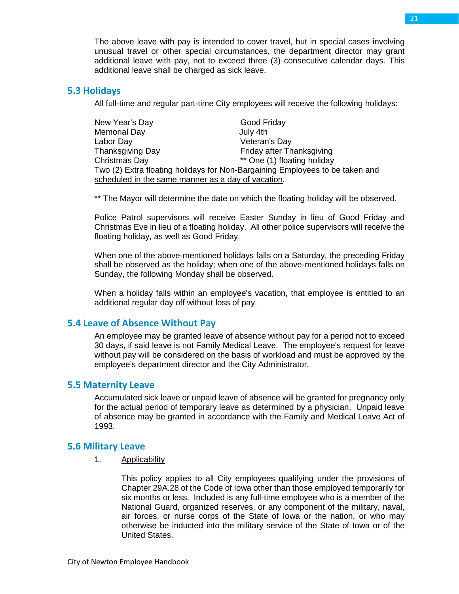The above leave with pay is intended to cover travel, but in special cases involving unusual travel or other special circumstances, the department director may grant additional leave with pay, not to exceed three (3) consecutive calendar days. This additional leave shall be charged as sick leave.

#### <span id="page-27-0"></span>**5.3 Holidays**

All full-time and regular part-time City employees will receive the following holidays:

| New Year's Day                                                               | Good Friday                 |  |  |
|------------------------------------------------------------------------------|-----------------------------|--|--|
| Memorial Day                                                                 | July 4th                    |  |  |
| Labor Day                                                                    | Veteran's Day               |  |  |
| Thanksgiving Day                                                             | Friday after Thanksgiving   |  |  |
| Christmas Day                                                                | ** One (1) floating holiday |  |  |
| Two (2) Extra floating holidays for Non-Bargaining Employees to be taken and |                             |  |  |
| scheduled in the same manner as a day of vacation.                           |                             |  |  |

\*\* The Mayor will determine the date on which the floating holiday will be observed.

Police Patrol supervisors will receive Easter Sunday in lieu of Good Friday and Christmas Eve in lieu of a floating holiday. All other police supervisors will receive the floating holiday, as well as Good Friday.

When one of the above-mentioned holidays falls on a Saturday, the preceding Friday shall be observed as the holiday; when one of the above-mentioned holidays falls on Sunday, the following Monday shall be observed.

When a holiday falls within an employee's vacation, that employee is entitled to an additional regular day off without loss of pay.

#### <span id="page-27-1"></span>**5.4 Leave of Absence Without Pay**

An employee may be granted leave of absence without pay for a period not to exceed 30 days, if said leave is not Family Medical Leave. The employee's request for leave without pay will be considered on the basis of workload and must be approved by the employee's department director and the City Administrator.

#### <span id="page-27-2"></span>**5.5 Maternity Leave**

Accumulated sick leave or unpaid leave of absence will be granted for pregnancy only for the actual period of temporary leave as determined by a physician. Unpaid leave of absence may be granted in accordance with the Family and Medical Leave Act of 1993.

#### <span id="page-27-3"></span>**5.6 Military Leave**

1. Applicability

This policy applies to all City employees qualifying under the provisions of Chapter 29A.28 of the Code of Iowa other than those employed temporarily for six months or less. Included is any full-time employee who is a member of the National Guard, organized reserves, or any component of the military, naval, air forces, or nurse corps of the State of Iowa or the nation, or who may otherwise be inducted into the military service of the State of Iowa or of the United States.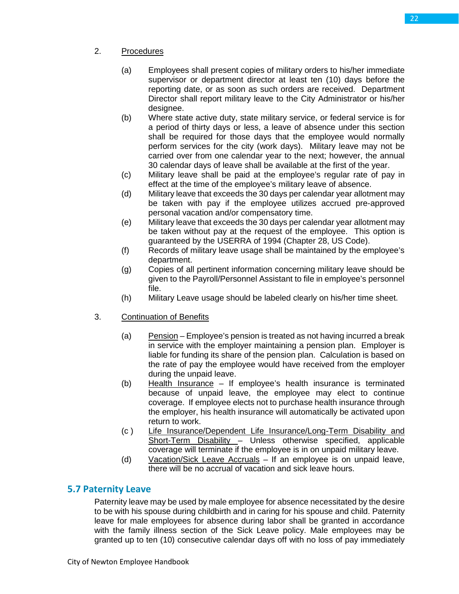- (a) Employees shall present copies of military orders to his/her immediate supervisor or department director at least ten (10) days before the reporting date, or as soon as such orders are received. Department Director shall report military leave to the City Administrator or his/her designee.
- (b) Where state active duty, state military service, or federal service is for a period of thirty days or less, a leave of absence under this section shall be required for those days that the employee would normally perform services for the city (work days). Military leave may not be carried over from one calendar year to the next; however, the annual 30 calendar days of leave shall be available at the first of the year.
- (c) Military leave shall be paid at the employee's regular rate of pay in effect at the time of the employee's military leave of absence.
- (d) Military leave that exceeds the 30 days per calendar year allotment may be taken with pay if the employee utilizes accrued pre-approved personal vacation and/or compensatory time.
- (e) Military leave that exceeds the 30 days per calendar year allotment may be taken without pay at the request of the employee. This option is guaranteed by the USERRA of 1994 (Chapter 28, US Code).
- (f) Records of military leave usage shall be maintained by the employee's department.
- (g) Copies of all pertinent information concerning military leave should be given to the Payroll/Personnel Assistant to file in employee's personnel file.
- (h) Military Leave usage should be labeled clearly on his/her time sheet.
- 3. Continuation of Benefits
	- (a) Pension Employee's pension is treated as not having incurred a break in service with the employer maintaining a pension plan. Employer is liable for funding its share of the pension plan. Calculation is based on the rate of pay the employee would have received from the employer during the unpaid leave.
	- (b) Health Insurance If employee's health insurance is terminated because of unpaid leave, the employee may elect to continue coverage. If employee elects not to purchase health insurance through the employer, his health insurance will automatically be activated upon return to work.
	- (c ) Life Insurance/Dependent Life Insurance/Long-Term Disability and Short-Term Disability - Unless otherwise specified, applicable coverage will terminate if the employee is in on unpaid military leave.
	- (d) Vacation/Sick Leave Accruals If an employee is on unpaid leave, there will be no accrual of vacation and sick leave hours.

#### <span id="page-28-0"></span>**5.7 Paternity Leave**

Paternity leave may be used by male employee for absence necessitated by the desire to be with his spouse during childbirth and in caring for his spouse and child. Paternity leave for male employees for absence during labor shall be granted in accordance with the family illness section of the Sick Leave policy. Male employees may be granted up to ten (10) consecutive calendar days off with no loss of pay immediately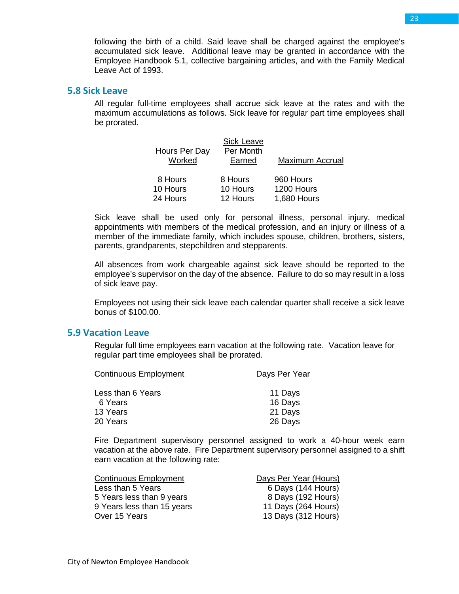following the birth of a child. Said leave shall be charged against the employee's accumulated sick leave. Additional leave may be granted in accordance with the Employee Handbook 5.1, collective bargaining articles, and with the Family Medical Leave Act of 1993.

#### <span id="page-29-0"></span>**5.8 Sick Leave**

All regular full-time employees shall accrue sick leave at the rates and with the maximum accumulations as follows. Sick leave for regular part time employees shall be prorated.

| Hours Per Day<br>Worked | <b>Sick Leave</b><br>Per Month<br>Earned | Maximum Accrual |
|-------------------------|------------------------------------------|-----------------|
| 8 Hours                 | 8 Hours                                  | 960 Hours       |
| 10 Hours                | 10 Hours                                 | 1200 Hours      |
| 24 Hours                | 12 Hours                                 | 1,680 Hours     |

Sick leave shall be used only for personal illness, personal injury, medical appointments with members of the medical profession, and an injury or illness of a member of the immediate family, which includes spouse, children, brothers, sisters, parents, grandparents, stepchildren and stepparents.

All absences from work chargeable against sick leave should be reported to the employee's supervisor on the day of the absence. Failure to do so may result in a loss of sick leave pay.

Employees not using their sick leave each calendar quarter shall receive a sick leave bonus of \$100.00.

#### <span id="page-29-1"></span>**5.9 Vacation Leave**

Regular full time employees earn vacation at the following rate. Vacation leave for regular part time employees shall be prorated.

| Continuous Employment | Days Per Year |
|-----------------------|---------------|
|                       |               |
| Less than 6 Years     | 11 Days       |
| 6 Years               | 16 Days       |
| 13 Years              | 21 Days       |
| 20 Years              | 26 Days       |

Fire Department supervisory personnel assigned to work a 40-hour week earn vacation at the above rate. Fire Department supervisory personnel assigned to a shift earn vacation at the following rate:

| Days Per Year (Hours) |
|-----------------------|
| 6 Days (144 Hours)    |
| 8 Days (192 Hours)    |
| 11 Days (264 Hours)   |
| 13 Days (312 Hours)   |
|                       |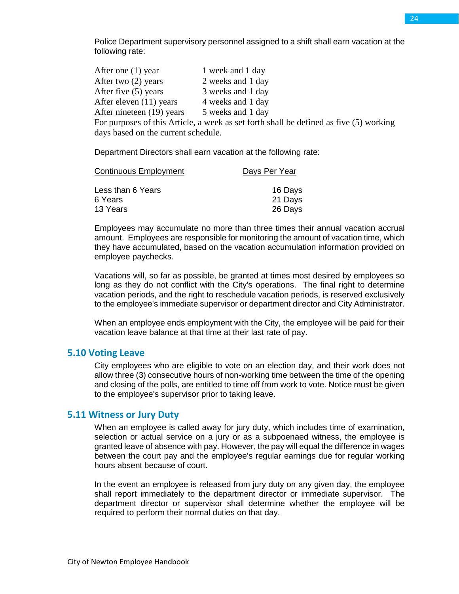Police Department supervisory personnel assigned to a shift shall earn vacation at the following rate:

| After one (1) year        | 1 week and 1 day                                                                       |
|---------------------------|----------------------------------------------------------------------------------------|
| After two (2) years       | 2 weeks and 1 day                                                                      |
| After five (5) years      | 3 weeks and 1 day                                                                      |
| After eleven (11) years   | 4 weeks and 1 day                                                                      |
| After nineteen (19) years | 5 weeks and 1 day                                                                      |
|                           | For purposes of this Article, a week as set forth shall be defined as five (5) working |

refroses of this Article, a week as set forth shall be defined as five (5) working days based on the current schedule.

Department Directors shall earn vacation at the following rate:

| <b>Continuous Employment</b> | Days Per Year |  |
|------------------------------|---------------|--|
| Less than 6 Years            | 16 Days       |  |
| 6 Years                      | 21 Days       |  |
| 13 Years                     | 26 Days       |  |

Employees may accumulate no more than three times their annual vacation accrual amount. Employees are responsible for monitoring the amount of vacation time, which they have accumulated, based on the vacation accumulation information provided on employee paychecks.

Vacations will, so far as possible, be granted at times most desired by employees so long as they do not conflict with the City's operations. The final right to determine vacation periods, and the right to reschedule vacation periods, is reserved exclusively to the employee's immediate supervisor or department director and City Administrator.

When an employee ends employment with the City, the employee will be paid for their vacation leave balance at that time at their last rate of pay.

#### <span id="page-30-0"></span>**5.10 Voting Leave**

City employees who are eligible to vote on an election day, and their work does not allow three (3) consecutive hours of non-working time between the time of the opening and closing of the polls, are entitled to time off from work to vote. Notice must be given to the employee's supervisor prior to taking leave.

#### <span id="page-30-1"></span>**5.11 Witness or Jury Duty**

When an employee is called away for jury duty, which includes time of examination, selection or actual service on a jury or as a subpoenaed witness, the employee is granted leave of absence with pay. However, the pay will equal the difference in wages between the court pay and the employee's regular earnings due for regular working hours absent because of court.

In the event an employee is released from jury duty on any given day, the employee shall report immediately to the department director or immediate supervisor. The department director or supervisor shall determine whether the employee will be required to perform their normal duties on that day.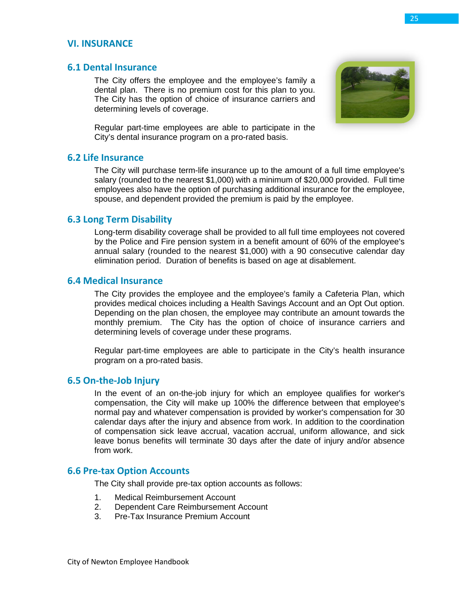#### <span id="page-31-0"></span>**VI. INSURANCE**

#### <span id="page-31-1"></span>**6.1 Dental Insurance**

The City offers the employee and the employee's family a dental plan. There is no premium cost for this plan to you. The City has the option of choice of insurance carriers and determining levels of coverage.



Regular part-time employees are able to participate in the City's dental insurance program on a pro-rated basis.

#### <span id="page-31-2"></span>**6.2 Life Insurance**

The City will purchase term-life insurance up to the amount of a full time employee's salary (rounded to the nearest \$1,000) with a minimum of \$20,000 provided. Full time employees also have the option of purchasing additional insurance for the employee, spouse, and dependent provided the premium is paid by the employee.

#### <span id="page-31-3"></span>**6.3 Long Term Disability**

Long-term disability coverage shall be provided to all full time employees not covered by the Police and Fire pension system in a benefit amount of 60% of the employee's annual salary (rounded to the nearest \$1,000) with a 90 consecutive calendar day elimination period. Duration of benefits is based on age at disablement.

#### <span id="page-31-4"></span>**6.4 Medical Insurance**

The City provides the employee and the employee's family a Cafeteria Plan, which provides medical choices including a Health Savings Account and an Opt Out option. Depending on the plan chosen, the employee may contribute an amount towards the monthly premium. The City has the option of choice of insurance carriers and determining levels of coverage under these programs.

Regular part-time employees are able to participate in the City's health insurance program on a pro-rated basis.

#### <span id="page-31-5"></span>**6.5 On-the-Job Injury**

In the event of an on-the-job injury for which an employee qualifies for worker's compensation, the City will make up 100% the difference between that employee's normal pay and whatever compensation is provided by worker's compensation for 30 calendar days after the injury and absence from work. In addition to the coordination of compensation sick leave accrual, vacation accrual, uniform allowance, and sick leave bonus benefits will terminate 30 days after the date of injury and/or absence from work.

#### <span id="page-31-6"></span>**6.6 Pre-tax Option Accounts**

The City shall provide pre-tax option accounts as follows:

- 1. Medical Reimbursement Account
- 2. Dependent Care Reimbursement Account
- 3. Pre-Tax Insurance Premium Account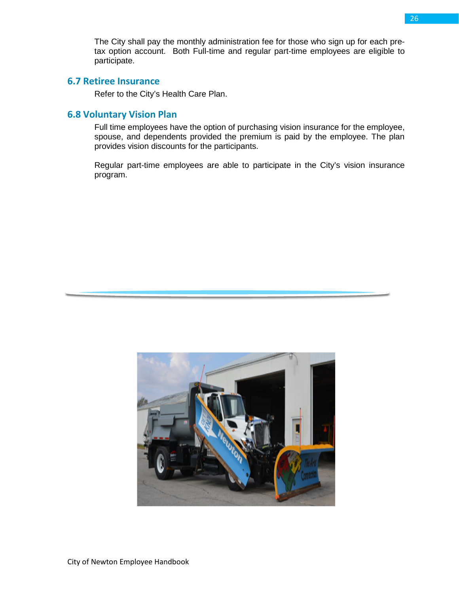The City shall pay the monthly administration fee for those who sign up for each pretax option account. Both Full-time and regular part-time employees are eligible to participate.

#### <span id="page-32-0"></span>**6.7 Retiree Insurance**

Refer to the City's Health Care Plan.

#### <span id="page-32-1"></span>**6.8 Voluntary Vision Plan**

Full time employees have the option of purchasing vision insurance for the employee, spouse, and dependents provided the premium is paid by the employee. The plan provides vision discounts for the participants.

Regular part-time employees are able to participate in the City's vision insurance program.

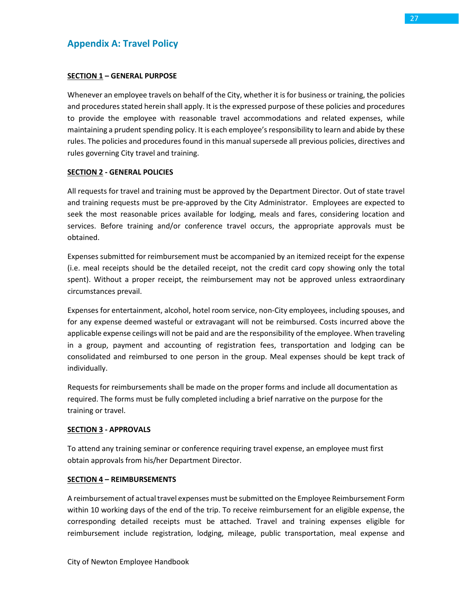### <span id="page-33-0"></span>**Appendix A: Travel Policy**

#### **SECTION 1 – GENERAL PURPOSE**

Whenever an employee travels on behalf of the City, whether it is for business or training, the policies and procedures stated herein shall apply. It is the expressed purpose of these policies and procedures to provide the employee with reasonable travel accommodations and related expenses, while maintaining a prudent spending policy. It is each employee's responsibility to learn and abide by these rules. The policies and procedures found in this manual supersede all previous policies, directives and rules governing City travel and training.

#### **SECTION 2 - GENERAL POLICIES**

All requests for travel and training must be approved by the Department Director. Out of state travel and training requests must be pre-approved by the City Administrator. Employees are expected to seek the most reasonable prices available for lodging, meals and fares, considering location and services. Before training and/or conference travel occurs, the appropriate approvals must be obtained.

Expenses submitted for reimbursement must be accompanied by an itemized receipt for the expense (i.e. meal receipts should be the detailed receipt, not the credit card copy showing only the total spent). Without a proper receipt, the reimbursement may not be approved unless extraordinary circumstances prevail.

Expenses for entertainment, alcohol, hotel room service, non-City employees, including spouses, and for any expense deemed wasteful or extravagant will not be reimbursed. Costs incurred above the applicable expense ceilings will not be paid and are the responsibility of the employee. When traveling in a group, payment and accounting of registration fees, transportation and lodging can be consolidated and reimbursed to one person in the group. Meal expenses should be kept track of individually.

Requests for reimbursements shall be made on the proper forms and include all documentation as required. The forms must be fully completed including a brief narrative on the purpose for the training or travel.

#### **SECTION 3 - APPROVALS**

To attend any training seminar or conference requiring travel expense, an employee must first obtain approvals from his/her Department Director.

#### **SECTION 4 – REIMBURSEMENTS**

A reimbursement of actual travel expenses must be submitted on the Employee Reimbursement Form within 10 working days of the end of the trip. To receive reimbursement for an eligible expense, the corresponding detailed receipts must be attached. Travel and training expenses eligible for reimbursement include registration, lodging, mileage, public transportation, meal expense and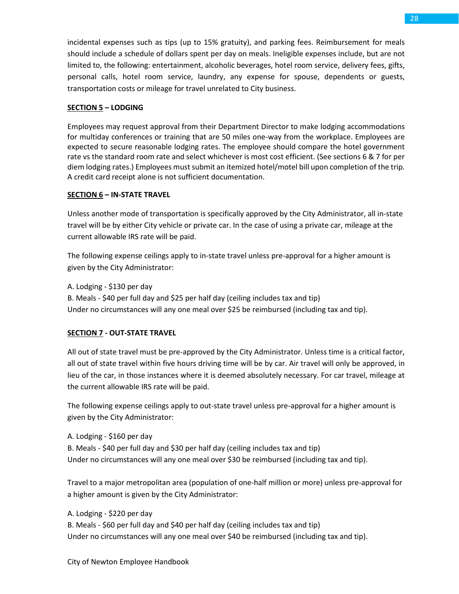incidental expenses such as tips (up to 15% gratuity), and parking fees. Reimbursement for meals should include a schedule of dollars spent per day on meals. Ineligible expenses include, but are not limited to, the following: entertainment, alcoholic beverages, hotel room service, delivery fees, gifts, personal calls, hotel room service, laundry, any expense for spouse, dependents or guests, transportation costs or mileage for travel unrelated to City business.

#### **SECTION 5 – LODGING**

Employees may request approval from their Department Director to make lodging accommodations for multiday conferences or training that are 50 miles one-way from the workplace. Employees are expected to secure reasonable lodging rates. The employee should compare the hotel government rate vs the standard room rate and select whichever is most cost efficient. (See sections 6 & 7 for per diem lodging rates.) Employees must submit an itemized hotel/motel bill upon completion of the trip. A credit card receipt alone is not sufficient documentation.

#### **SECTION 6 – IN-STATE TRAVEL**

Unless another mode of transportation is specifically approved by the City Administrator, all in-state travel will be by either City vehicle or private car. In the case of using a private car, mileage at the current allowable IRS rate will be paid.

The following expense ceilings apply to in-state travel unless pre-approval for a higher amount is given by the City Administrator:

A. Lodging - \$130 per day

B. Meals - \$40 per full day and \$25 per half day (ceiling includes tax and tip) Under no circumstances will any one meal over \$25 be reimbursed (including tax and tip).

#### **SECTION 7 - OUT-STATE TRAVEL**

All out of state travel must be pre-approved by the City Administrator. Unless time is a critical factor, all out of state travel within five hours driving time will be by car. Air travel will only be approved, in lieu of the car, in those instances where it is deemed absolutely necessary. For car travel, mileage at the current allowable IRS rate will be paid.

The following expense ceilings apply to out-state travel unless pre-approval for a higher amount is given by the City Administrator:

A. Lodging - \$160 per day B. Meals - \$40 per full day and \$30 per half day (ceiling includes tax and tip)

Under no circumstances will any one meal over \$30 be reimbursed (including tax and tip).

Travel to a major metropolitan area (population of one-half million or more) unless pre-approval for a higher amount is given by the City Administrator:

A. Lodging - \$220 per day

B. Meals - \$60 per full day and \$40 per half day (ceiling includes tax and tip) Under no circumstances will any one meal over \$40 be reimbursed (including tax and tip).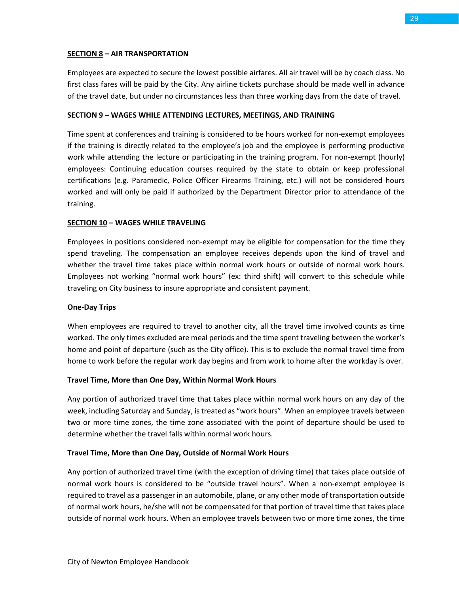#### **SECTION 8 – AIR TRANSPORTATION**

Employees are expected to secure the lowest possible airfares. All air travel will be by coach class. No first class fares will be paid by the City. Any airline tickets purchase should be made well in advance of the travel date, but under no circumstances less than three working days from the date of travel.

#### **SECTION 9 – WAGES WHILE ATTENDING LECTURES, MEETINGS, AND TRAINING**

Time spent at conferences and training is considered to be hours worked for non-exempt employees if the training is directly related to the employee's job and the employee is performing productive work while attending the lecture or participating in the training program. For non-exempt (hourly) employees: Continuing education courses required by the state to obtain or keep professional certifications (e.g. Paramedic, Police Officer Firearms Training, etc.) will not be considered hours worked and will only be paid if authorized by the Department Director prior to attendance of the training.

#### **SECTION 10 – WAGES WHILE TRAVELING**

Employees in positions considered non-exempt may be eligible for compensation for the time they spend traveling. The compensation an employee receives depends upon the kind of travel and whether the travel time takes place within normal work hours or outside of normal work hours. Employees not working "normal work hours" (ex: third shift) will convert to this schedule while traveling on City business to insure appropriate and consistent payment.

#### **One-Day Trips**

When employees are required to travel to another city, all the travel time involved counts as time worked. The only times excluded are meal periods and the time spent traveling between the worker's home and point of departure (such as the City office). This is to exclude the normal travel time from home to work before the regular work day begins and from work to home after the workday is over.

#### **Travel Time, More than One Day, Within Normal Work Hours**

Any portion of authorized travel time that takes place within normal work hours on any day of the week, including Saturday and Sunday, is treated as "work hours". When an employee travels between two or more time zones, the time zone associated with the point of departure should be used to determine whether the travel falls within normal work hours.

#### **Travel Time, More than One Day, Outside of Normal Work Hours**

Any portion of authorized travel time (with the exception of driving time) that takes place outside of normal work hours is considered to be "outside travel hours". When a non-exempt employee is required to travel as a passenger in an automobile, plane, or any other mode of transportation outside of normal work hours, he/she will not be compensated for that portion of travel time that takes place outside of normal work hours. When an employee travels between two or more time zones, the time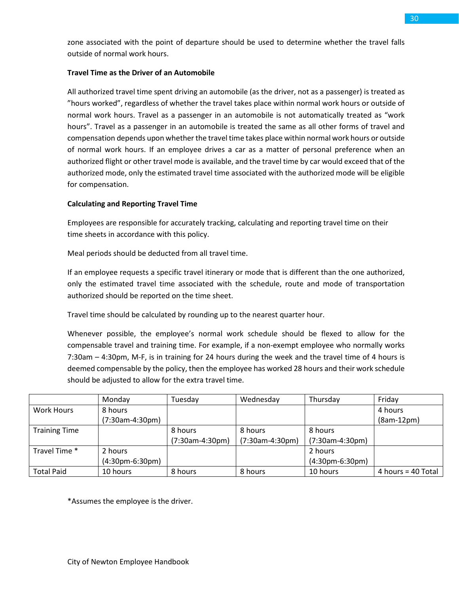zone associated with the point of departure should be used to determine whether the travel falls outside of normal work hours.

#### **Travel Time as the Driver of an Automobile**

All authorized travel time spent driving an automobile (as the driver, not as a passenger) is treated as "hours worked", regardless of whether the travel takes place within normal work hours or outside of normal work hours. Travel as a passenger in an automobile is not automatically treated as "work hours". Travel as a passenger in an automobile is treated the same as all other forms of travel and compensation depends upon whether the travel time takes place within normal work hours or outside of normal work hours. If an employee drives a car as a matter of personal preference when an authorized flight or other travel mode is available, and the travel time by car would exceed that of the authorized mode, only the estimated travel time associated with the authorized mode will be eligible for compensation.

#### **Calculating and Reporting Travel Time**

Employees are responsible for accurately tracking, calculating and reporting travel time on their time sheets in accordance with this policy.

Meal periods should be deducted from all travel time.

If an employee requests a specific travel itinerary or mode that is different than the one authorized, only the estimated travel time associated with the schedule, route and mode of transportation authorized should be reported on the time sheet.

Travel time should be calculated by rounding up to the nearest quarter hour.

Whenever possible, the employee's normal work schedule should be flexed to allow for the compensable travel and training time. For example, if a non-exempt employee who normally works 7:30am – 4:30pm, M-F, is in training for 24 hours during the week and the travel time of 4 hours is deemed compensable by the policy, then the employee has worked 28 hours and their work schedule should be adjusted to allow for the extra travel time.

|                      | Monday            | Tuesday           | Wednesday         | Thursday          | Friday               |
|----------------------|-------------------|-------------------|-------------------|-------------------|----------------------|
| <b>Work Hours</b>    | 8 hours           |                   |                   |                   | 4 hours              |
|                      | (7:30am-4:30pm)   |                   |                   |                   | $(8am-12pm)$         |
| <b>Training Time</b> |                   | 8 hours           | 8 hours           | 8 hours           |                      |
|                      |                   | $(7:30am-4:30pm)$ | $(7:30am-4:30pm)$ | $(7:30am-4:30pm)$ |                      |
| Travel Time *        | 2 hours           |                   |                   | 2 hours           |                      |
|                      | $(4:30pm-6:30pm)$ |                   |                   | $(4:30pm-6:30pm)$ |                      |
| <b>Total Paid</b>    | 10 hours          | 8 hours           | 8 hours           | 10 hours          | 4 hours = $40$ Total |

\*Assumes the employee is the driver.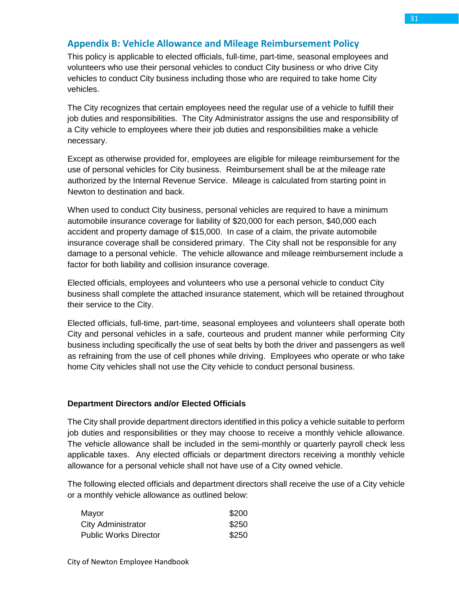#### <span id="page-37-0"></span>**Appendix B: Vehicle Allowance and Mileage Reimbursement Policy**

This policy is applicable to elected officials, full-time, part-time, seasonal employees and volunteers who use their personal vehicles to conduct City business or who drive City vehicles to conduct City business including those who are required to take home City vehicles.

The City recognizes that certain employees need the regular use of a vehicle to fulfill their job duties and responsibilities. The City Administrator assigns the use and responsibility of a City vehicle to employees where their job duties and responsibilities make a vehicle necessary.

Except as otherwise provided for, employees are eligible for mileage reimbursement for the use of personal vehicles for City business. Reimbursement shall be at the mileage rate authorized by the Internal Revenue Service. Mileage is calculated from starting point in Newton to destination and back.

When used to conduct City business, personal vehicles are required to have a minimum automobile insurance coverage for liability of \$20,000 for each person, \$40,000 each accident and property damage of \$15,000. In case of a claim, the private automobile insurance coverage shall be considered primary. The City shall not be responsible for any damage to a personal vehicle. The vehicle allowance and mileage reimbursement include a factor for both liability and collision insurance coverage.

Elected officials, employees and volunteers who use a personal vehicle to conduct City business shall complete the attached insurance statement, which will be retained throughout their service to the City.

Elected officials, full-time, part-time, seasonal employees and volunteers shall operate both City and personal vehicles in a safe, courteous and prudent manner while performing City business including specifically the use of seat belts by both the driver and passengers as well as refraining from the use of cell phones while driving. Employees who operate or who take home City vehicles shall not use the City vehicle to conduct personal business.

#### **Department Directors and/or Elected Officials**

The City shall provide department directors identified in this policy a vehicle suitable to perform job duties and responsibilities or they may choose to receive a monthly vehicle allowance. The vehicle allowance shall be included in the semi-monthly or quarterly payroll check less applicable taxes. Any elected officials or department directors receiving a monthly vehicle allowance for a personal vehicle shall not have use of a City owned vehicle.

The following elected officials and department directors shall receive the use of a City vehicle or a monthly vehicle allowance as outlined below:

| Mayor                 | \$200 |
|-----------------------|-------|
| City Administrator    | \$250 |
| Public Works Director | \$250 |

City of Newton Employee Handbook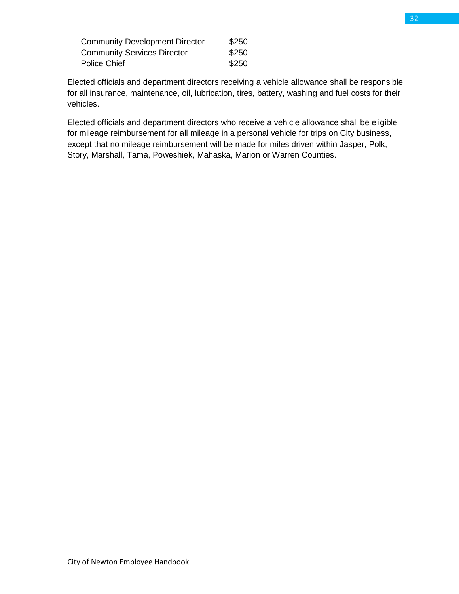| <b>Community Development Director</b> | \$250 |
|---------------------------------------|-------|
| Community Services Director           | \$250 |
| Police Chief                          | \$250 |

Elected officials and department directors receiving a vehicle allowance shall be responsible for all insurance, maintenance, oil, lubrication, tires, battery, washing and fuel costs for their vehicles.

Elected officials and department directors who receive a vehicle allowance shall be eligible for mileage reimbursement for all mileage in a personal vehicle for trips on City business, except that no mileage reimbursement will be made for miles driven within Jasper, Polk, Story, Marshall, Tama, Poweshiek, Mahaska, Marion or Warren Counties.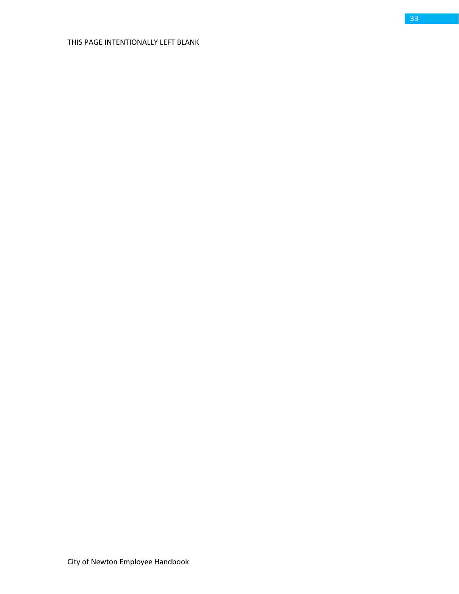#### THIS PAGE INTENTIONALLY LEFT BLANK

33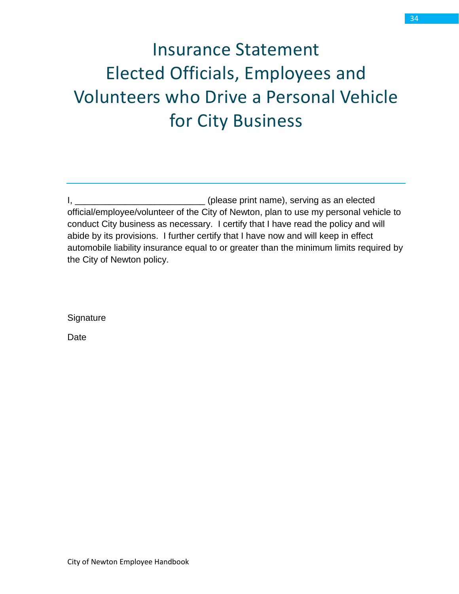# Insurance Statement Elected Officials, Employees and Volunteers who Drive a Personal Vehicle for City Business

**Signature** 

**Date** 

I, \_\_\_\_\_\_\_\_\_\_\_\_\_\_\_\_\_\_\_\_\_\_\_\_\_\_\_\_\_\_\_\_\_(please print name), serving as an elected official/employee/volunteer of the City of Newton, plan to use my personal vehicle to conduct City business as necessary. I certify that I have read the policy and will abide by its provisions. I further certify that I have now and will keep in effect automobile liability insurance equal to or greater than the minimum limits required by the City of Newton policy.